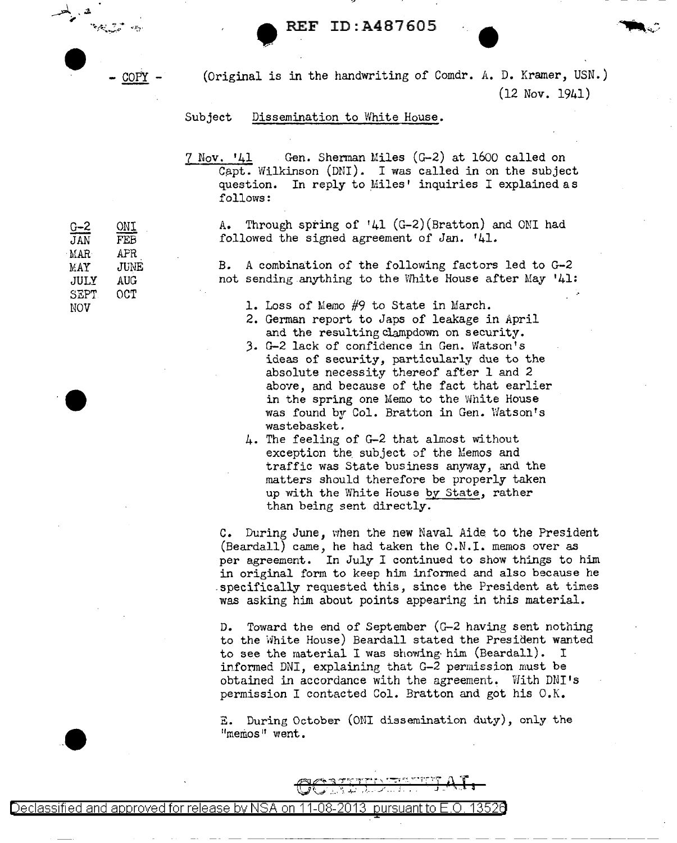REF ID:A487605

 $\frac{1}{\sqrt{2}}$   $\frac{1}{\sqrt{2}}$   $\frac{1}{\sqrt{2}}$   $\frac{1}{\sqrt{2}}$   $\frac{1}{\sqrt{2}}$   $\frac{1}{\sqrt{2}}$   $\frac{1}{\sqrt{2}}$   $\frac{1}{\sqrt{2}}$   $\frac{1}{\sqrt{2}}$   $\frac{1}{\sqrt{2}}$   $\frac{1}{\sqrt{2}}$   $\frac{1}{\sqrt{2}}$   $\frac{1}{\sqrt{2}}$   $\frac{1}{\sqrt{2}}$   $\frac{1}{\sqrt{2}}$   $\frac{1}{\sqrt{2}}$   $\frac{1}{\sqrt{2}}$ 

 $\frac{G-2}{JAN}$   $\frac{ONI}{FEB}$ 

MAR AFR MAY JUNE JULY AUG<br>SEPT OCT SEPT NOV

 $\bullet$ 

FEB

(Original is in the handwriting of Comdr. A. D. Kramer, USN.) (12 Nov. 1941)

## Subject Dissemination to White House.

7 Nov. '41 Gen. Shennan Miles (G-2) at 1600 called on Capt. Wilkinson (DNI). I was called in on the subject question. In reply to Miles' inquiries I explained as In reply to Miles' inquiries I explained as follows:

A. Through spring of '41 (G-2) (Bratton) and ONI had followed the signed agreement of *Jan.* '41.

B. A combination of the following factors led to G-2 not sending anything to the White House after May '41:

1. Loss of Memo #9 to State in March.

- 2. German report to Japs of leakage in April and the resulting clampdown on security.
- J. G-2 lack of confidence in Gen. Watson's ideas of security, particularly due to the absolute necessity thereof after 1 and 2 above, and because of the fact that earlier in the spring one Memo to the White House was found by Col. Bratton in Gen. Watson's wastebasket.
- 4. The feeling of G-2 that almost without exception the subject of the Memos and traffic was State business anyway, and the matters should therefore be properly taken up with the White House by State, rather than being sent directly.

c. During June, when the new Naval Aide to the President (Beardall) came, he had taken the O.N.I. memos over as per agreement. In July I continued to show things to him in original form to keep him informed and also because he .specifically requested this, since the President at times was asking him about points appearing in this material.

D. Toward the end of September (G-2 having sent nothing to the White House) Beardall stated the President wanted to see the material I was showing· him (Beardall). I informed DNI, explaining that G-2 permission must be obtained in accordance with the agreement. With DNI 1s permission I contacted Col. Bratton and got his O.K.

E. During October (ONI dissemination duty), only the "memos" went.

---------~-- -- - - - -- - ------